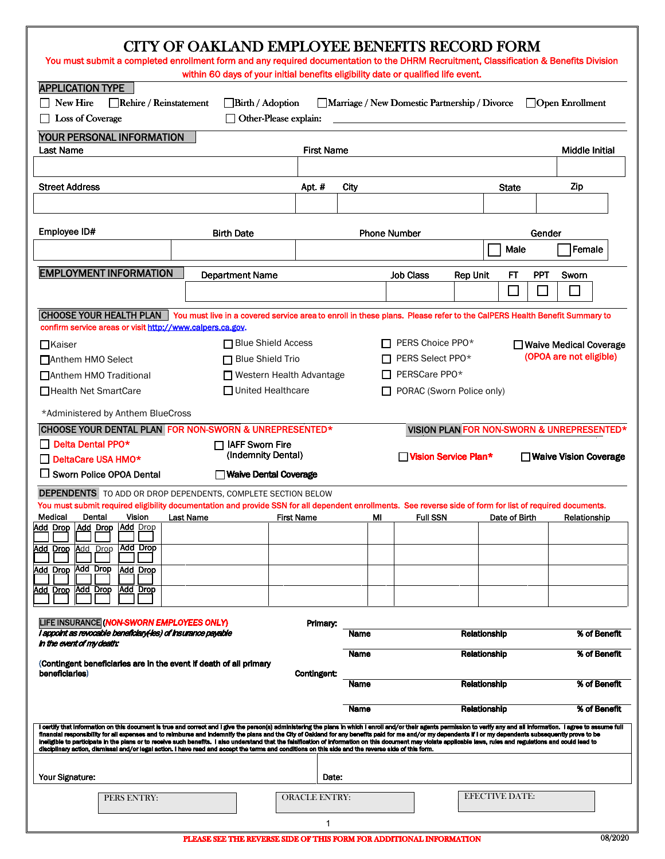| You must submit a completed enrollment form and any required documentation to the DHRM Recruitment, Classification & Benefits Division                                                                                                                                                                                                                                                                                                                                                                                                                                                                                                                                                                                                                                                                                 |                         |                   |                                                  |                      |                                                    |             | <b>CITY OF OAKLAND EMPLOYEE BENEFITS RECORD FORM</b>                                                                               |                         |                             |                                            |
|------------------------------------------------------------------------------------------------------------------------------------------------------------------------------------------------------------------------------------------------------------------------------------------------------------------------------------------------------------------------------------------------------------------------------------------------------------------------------------------------------------------------------------------------------------------------------------------------------------------------------------------------------------------------------------------------------------------------------------------------------------------------------------------------------------------------|-------------------------|-------------------|--------------------------------------------------|----------------------|----------------------------------------------------|-------------|------------------------------------------------------------------------------------------------------------------------------------|-------------------------|-----------------------------|--------------------------------------------|
| <b>APPLICATION TYPE</b><br>$\Box$ New Hire<br>□ Loss of Coverage                                                                                                                                                                                                                                                                                                                                                                                                                                                                                                                                                                                                                                                                                                                                                       | Rehire / Reinstatement  |                   | $\Box$ Birth / Adoption<br>Other-Please explain: |                      |                                                    |             | within 60 days of your initial benefits eligibility date or qualified life event.<br>Marriage / New Domestic Partnership / Divorce |                         |                             | $\Box$ Open Enrollment                     |
| YOUR PERSONAL INFORMATION<br>Last Name                                                                                                                                                                                                                                                                                                                                                                                                                                                                                                                                                                                                                                                                                                                                                                                 |                         |                   |                                                  |                      | <b>First Name</b>                                  |             |                                                                                                                                    |                         |                             | Middle Initial                             |
|                                                                                                                                                                                                                                                                                                                                                                                                                                                                                                                                                                                                                                                                                                                                                                                                                        |                         |                   |                                                  |                      |                                                    |             |                                                                                                                                    |                         |                             |                                            |
| <b>Street Address</b>                                                                                                                                                                                                                                                                                                                                                                                                                                                                                                                                                                                                                                                                                                                                                                                                  |                         |                   |                                                  | Apt.#                |                                                    | City        |                                                                                                                                    |                         | <b>State</b>                | Zip                                        |
|                                                                                                                                                                                                                                                                                                                                                                                                                                                                                                                                                                                                                                                                                                                                                                                                                        |                         |                   |                                                  |                      |                                                    |             |                                                                                                                                    |                         |                             |                                            |
| Employee ID#                                                                                                                                                                                                                                                                                                                                                                                                                                                                                                                                                                                                                                                                                                                                                                                                           |                         | <b>Birth Date</b> |                                                  |                      |                                                    |             | <b>Phone Number</b>                                                                                                                |                         | Male                        | Gender<br>Female                           |
| <b>EMPLOYMENT INFORMATION</b>                                                                                                                                                                                                                                                                                                                                                                                                                                                                                                                                                                                                                                                                                                                                                                                          |                         |                   | <b>Department Name</b>                           |                      |                                                    |             | <b>Job Class</b>                                                                                                                   | <b>Rep Unit</b>         | <b>FT</b>                   | <b>PPT</b><br>Sworn                        |
|                                                                                                                                                                                                                                                                                                                                                                                                                                                                                                                                                                                                                                                                                                                                                                                                                        |                         |                   |                                                  |                      |                                                    |             |                                                                                                                                    |                         | $\mathcal{L}_{\mathcal{A}}$ |                                            |
| CHOOSE YOUR HEALTH PLAN   You must live in a covered service area to enroll in these plans. Please refer to the CaIPERS Health Benefit Summary to<br>confirm service areas or visit http://www.calpers.ca.gov.                                                                                                                                                                                                                                                                                                                                                                                                                                                                                                                                                                                                         |                         |                   |                                                  |                      |                                                    |             |                                                                                                                                    |                         |                             |                                            |
| $\Box$ Kaiser                                                                                                                                                                                                                                                                                                                                                                                                                                                                                                                                                                                                                                                                                                                                                                                                          |                         |                   | <b>□ Blue Shield Access</b>                      |                      |                                                    |             | PERS Choice PPO*                                                                                                                   |                         |                             | □ Waive Medical Coverage                   |
| □ Anthem HMO Select                                                                                                                                                                                                                                                                                                                                                                                                                                                                                                                                                                                                                                                                                                                                                                                                    | $\Box$ Blue Shield Trio |                   |                                                  |                      | (OPOA are not eligible)<br>$\Box$ PERS Select PPO* |             |                                                                                                                                    |                         |                             |                                            |
| PERSCare PPO*<br>□ Western Health Advantage<br>□ Anthem HMO Traditional<br>$\Box$ United Healthcare<br>□ Health Net SmartCare<br>PORAC (Sworn Police only)                                                                                                                                                                                                                                                                                                                                                                                                                                                                                                                                                                                                                                                             |                         |                   |                                                  |                      |                                                    |             |                                                                                                                                    |                         |                             |                                            |
| *Administered by Anthem BlueCross                                                                                                                                                                                                                                                                                                                                                                                                                                                                                                                                                                                                                                                                                                                                                                                      |                         |                   |                                                  |                      |                                                    |             |                                                                                                                                    |                         |                             |                                            |
| CHOOSE YOUR DENTAL PLAN FOR NON-SWORN & UNREPRESENTED*                                                                                                                                                                                                                                                                                                                                                                                                                                                                                                                                                                                                                                                                                                                                                                 |                         |                   |                                                  |                      |                                                    |             |                                                                                                                                    |                         |                             | VISION PLAN FOR NON-SWORN & UNREPRESENTED* |
| $\Box$ Delta Dental PPO*<br><b>IAFF Sworn Fire</b><br>(Indemnity Dental)<br>$\Box$ DeltaCare USA HMO*<br>□ Sworn Police OPOA Dental<br>Walve Dental Coverage                                                                                                                                                                                                                                                                                                                                                                                                                                                                                                                                                                                                                                                           |                         |                   |                                                  | Vision Service Plan* |                                                    |             |                                                                                                                                    | □ Waive Vision Coverage |                             |                                            |
| <b>DEPENDENTS</b> TO ADD OR DROP DEPENDENTS, COMPLETE SECTION BELOW<br>You must submit required eligibility documentation and provide SSN for all dependent enrollments. See reverse side of form for list of required documents.<br>Medical<br>Dental<br>Vision                                                                                                                                                                                                                                                                                                                                                                                                                                                                                                                                                       |                         | Last Name         |                                                  | <b>First Name</b>    |                                                    | ΜI          | <b>Full SSN</b>                                                                                                                    |                         | Date of Birth               | Relationship                               |
| Add Drop Add Drop Add Drop                                                                                                                                                                                                                                                                                                                                                                                                                                                                                                                                                                                                                                                                                                                                                                                             |                         |                   |                                                  |                      |                                                    |             |                                                                                                                                    |                         |                             |                                            |
| Add Drop<br><u>Add</u> Drop<br><u>Add</u><br>Drop                                                                                                                                                                                                                                                                                                                                                                                                                                                                                                                                                                                                                                                                                                                                                                      |                         |                   |                                                  |                      |                                                    |             |                                                                                                                                    |                         |                             |                                            |
| Add Drop<br><b>Add Drop</b><br>Add Drop<br><u>Add</u> Drop<br>Add Drop<br>Add Drop                                                                                                                                                                                                                                                                                                                                                                                                                                                                                                                                                                                                                                                                                                                                     |                         |                   |                                                  |                      |                                                    |             |                                                                                                                                    |                         |                             |                                            |
|                                                                                                                                                                                                                                                                                                                                                                                                                                                                                                                                                                                                                                                                                                                                                                                                                        |                         |                   |                                                  |                      |                                                    |             |                                                                                                                                    |                         |                             |                                            |
| LIFE INSURANCE (NON-SWORN EMPLOYEES ONLY)<br>I appoint as revocable beneficiary les) of insurance payable<br>in the event of my death:                                                                                                                                                                                                                                                                                                                                                                                                                                                                                                                                                                                                                                                                                 |                         |                   |                                                  |                      | Primary:                                           | Name        |                                                                                                                                    |                         | Relationship                | % of Benefit                               |
| (Contingent beneficiaries are in the event if death of all primary                                                                                                                                                                                                                                                                                                                                                                                                                                                                                                                                                                                                                                                                                                                                                     |                         |                   |                                                  |                      |                                                    | <b>Name</b> |                                                                                                                                    |                         | Relationship                | % of Benefit                               |
| beneficiaries)                                                                                                                                                                                                                                                                                                                                                                                                                                                                                                                                                                                                                                                                                                                                                                                                         |                         |                   |                                                  | <b>Contingent:</b>   |                                                    | Name        |                                                                                                                                    |                         | Relationship                | % of Benefit                               |
|                                                                                                                                                                                                                                                                                                                                                                                                                                                                                                                                                                                                                                                                                                                                                                                                                        |                         |                   |                                                  |                      |                                                    | <b>Name</b> |                                                                                                                                    |                         | <b>Relationship</b>         | % of Benefit                               |
| I certify that information on this document is true and correct and I give the person(s) administering the plans in which I enroll and/or their agents permission to verify any and all information. I agree to assume full<br>financial responsibility for all expenses and to reimburse and indemnify the plans and the City of Oakland for any benefits paid for me and/or my dependents if I or my dependents subsequently prove to be<br>ineligible to participate in the plans or to receive such benefits. I also understand that the falsification of information on this document may violate applicable laws, rules and regulations and could lead to<br>disciplinary action, dismissal and/or legal action. I have read and accept the terms and conditions on this side and the reverse side of this form. |                         |                   |                                                  |                      |                                                    |             |                                                                                                                                    |                         |                             |                                            |
| Your Signature:                                                                                                                                                                                                                                                                                                                                                                                                                                                                                                                                                                                                                                                                                                                                                                                                        |                         |                   |                                                  |                      | Date:                                              |             |                                                                                                                                    |                         |                             |                                            |
| PERS ENTRY:                                                                                                                                                                                                                                                                                                                                                                                                                                                                                                                                                                                                                                                                                                                                                                                                            |                         |                   |                                                  | <b>ORACLE ENTRY:</b> |                                                    |             |                                                                                                                                    |                         | <b>EFECTIVE DATE:</b>       |                                            |
|                                                                                                                                                                                                                                                                                                                                                                                                                                                                                                                                                                                                                                                                                                                                                                                                                        |                         |                   |                                                  |                      | 1                                                  |             |                                                                                                                                    |                         |                             |                                            |